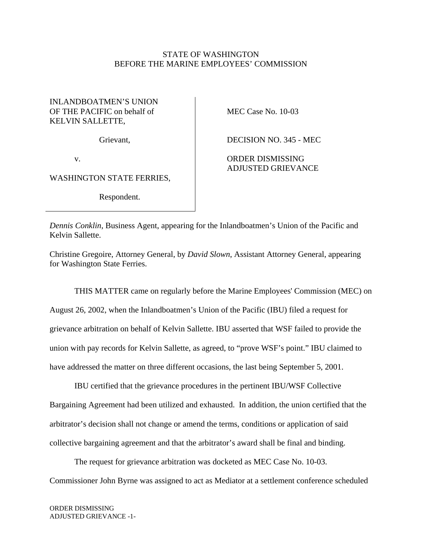## STATE OF WASHINGTON BEFORE THE MARINE EMPLOYEES' COMMISSION

## INLANDBOATMEN'S UNION OF THE PACIFIC on behalf of KELVIN SALLETTE,

Grievant,

v.

WASHINGTON STATE FERRIES,

Respondent.

MEC Case No. 10-03

DECISION NO. 345 - MEC

ORDER DISMISSING ADJUSTED GRIEVANCE

*Dennis Conklin*, Business Agent, appearing for the Inlandboatmen's Union of the Pacific and Kelvin Sallette.

Christine Gregoire, Attorney General, by *David Slown*, Assistant Attorney General, appearing for Washington State Ferries.

 THIS MATTER came on regularly before the Marine Employees' Commission (MEC) on August 26, 2002, when the Inlandboatmen's Union of the Pacific (IBU) filed a request for grievance arbitration on behalf of Kelvin Sallette. IBU asserted that WSF failed to provide the union with pay records for Kelvin Sallette, as agreed, to "prove WSF's point." IBU claimed to have addressed the matter on three different occasions, the last being September 5, 2001.

 IBU certified that the grievance procedures in the pertinent IBU/WSF Collective Bargaining Agreement had been utilized and exhausted. In addition, the union certified that the arbitrator's decision shall not change or amend the terms, conditions or application of said collective bargaining agreement and that the arbitrator's award shall be final and binding.

 The request for grievance arbitration was docketed as MEC Case No. 10-03. Commissioner John Byrne was assigned to act as Mediator at a settlement conference scheduled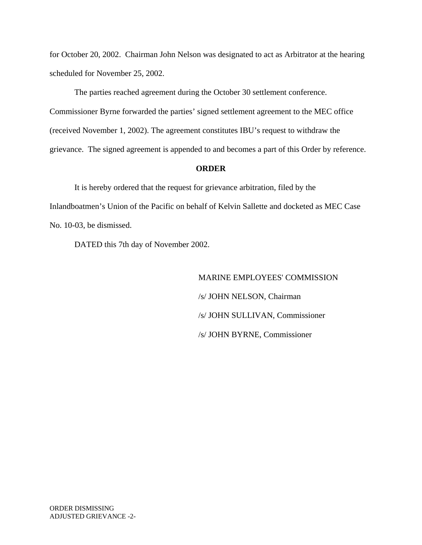for October 20, 2002. Chairman John Nelson was designated to act as Arbitrator at the hearing scheduled for November 25, 2002.

 The parties reached agreement during the October 30 settlement conference. Commissioner Byrne forwarded the parties' signed settlement agreement to the MEC office (received November 1, 2002). The agreement constitutes IBU's request to withdraw the grievance. The signed agreement is appended to and becomes a part of this Order by reference.

## **ORDER**

 It is hereby ordered that the request for grievance arbitration, filed by the Inlandboatmen's Union of the Pacific on behalf of Kelvin Sallette and docketed as MEC Case No. 10-03, be dismissed.

DATED this 7th day of November 2002.

 MARINE EMPLOYEES' COMMISSION /s/ JOHN NELSON, Chairman /s/ JOHN SULLIVAN, Commissioner /s/ JOHN BYRNE, Commissioner